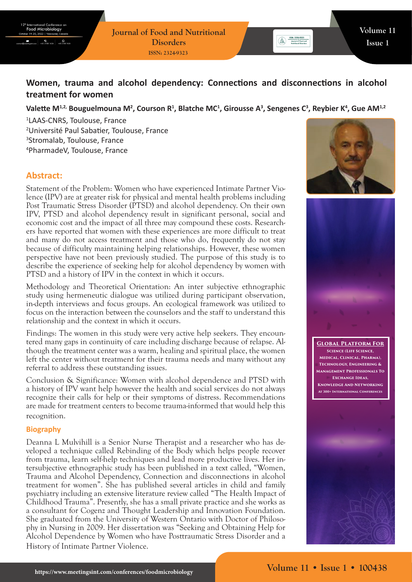$\mathbf{e}_{\text{158.158.1626}}$   $\mathbf{e}_{\text{258.158.1}}$ 

# **Women, trauma and alcohol dependency: Connections and disconnections in alcohol treatment for women**

### Valette M<sup>1,2,</sup> Bouguelmouna M<sup>2</sup>, Courson R<sup>1</sup>, Blatche MC<sup>1</sup>, Girousse A<sup>3</sup>, Sengenes C<sup>3</sup>, Reybier K<sup>4</sup>, Gue AM<sup>1,2</sup>

 LAAS-CNRS, Toulouse, France Université Paul Sabatier, Toulouse, France Stromalab, Toulouse, France PharmadeV, Toulouse, France

## **Abstract:**

Statement of the Problem: Women who have experienced Intimate Partner Violence (IPV) are at greater risk for physical and mental health problems including Post Traumatic Stress Disorder (PTSD) and alcohol dependency. On their own IPV, PTSD and alcohol dependency result in significant personal, social and economic cost and the impact of all three may compound these costs. Researchers have reported that women with these experiences are more difficult to treat and many do not access treatment and those who do, frequently do not stay because of difficulty maintaining helping relationships. However, these women perspective have not been previously studied. The purpose of this study is to describe the experience of seeking help for alcohol dependency by women with PTSD and a history of IPV in the context in which it occurs.

Methodology and Theoretical Orientation: An inter subjective ethnographic study using hermeneutic dialogue was utilized during participant observation, in-depth interviews and focus groups. An ecological framework was utilized to focus on the interaction between the counselors and the staff to understand this relationship and the context in which it occurs.

Findings: The women in this study were very active help seekers. They encountered many gaps in continuity of care including discharge because of relapse. Although the treatment center was a warm, healing and spiritual place, the women left the center without treatment for their trauma needs and many without any referral to address these outstanding issues.

Conclusion & Significance: Women with alcohol dependence and PTSD with a history of IPV want help however the health and social services do not always recognize their calls for help or their symptoms of distress. Recommendations are made for treatment centers to become trauma-informed that would help this recognition.

#### **Biography**

Deanna L Mulvihill is a Senior Nurse Therapist and a researcher who has developed a technique called Rebinding of the Body which helps people recover from trauma, learn self-help techniques and lead more productive lives. Her intersubjective ethnographic study has been published in a text called, "Women, Trauma and Alcohol Dependency, Connection and disconnections in alcohol treatment for women". She has published several articles in child and family psychiatry including an extensive literature review called "The Health Impact of Childhood Trauma". Presently, she has a small private practice and she works as a consultant for Cogenz and Thought Leadership and Innovation Foundation. She graduated from the University of Western Ontario with Doctor of Philosophy in Nursing in 2009. Her dissertation was "Seeking and Obtaining Help for Alcohol Dependence by Women who have Posttraumatic Stress Disorder and a History of Intimate Partner Violence.



 $\binom{1}{\text{even}}$   $\frac{155N: 2324-9323}{\text{lower of Food and  
Method of Protocol$ 



**Global Platform For Science (Life Science, Medical, Clinical, Pharma), Technology, Engineering & Management Professionals To Exchange Ideas, Knowledge And Networking At 300+ International Conferences**